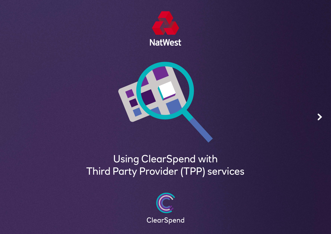



 $\blacktriangleright$ 

### Using ClearSpend with Third Party Provider (TPP) services

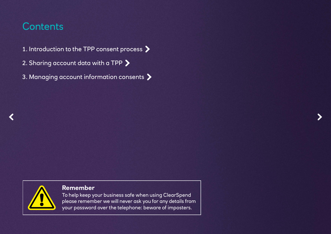### **Contents**

- 1. Introduction to the TPP consent process >
- 2. Sharing account data with a TPP  $\blacktriangleright$
- 3. Managing account information consents  $\blacktriangleright$



### **Remember**

To help keep your business safe when using ClearSpend please remember we will never ask you for any details from your password over the telephone: beware of imposters.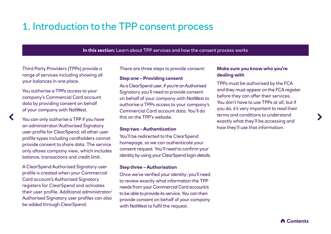### 1. Introduction to the TPP consent process

**In this section:** Learn about TPP services and how the consent process works

Third Party Providers (TPPs) provide a range of services including showing all your balances in one place.

You authorise a TPPs access to your company's Commercial Card account data by providing consent on behalf of your company with NatWest.

You can only authorise a TPP if you have an administrator/Authorised Signatory user profile for ClearSpend; all other user profile types including cardholders cannot provide consent to share data. The service only allows company view, which includes balance, transactions and credit limit.

A ClearSpend Authorised Signatory user profile is created when your Commercial Card account's Authorised Signatory registers for ClearSpend and activates their user profile. Additional administrator/ Authorised Signatory user profiles can also be added through ClearSpend.

There are three steps to provide consent:

#### **Step one – Providing consent**

As a ClearSpend user, if you're an Authorised Signatory you'll need to provide consent on behalf of your company with NatWest to authorise a TPPs access to your company's Commercial Card account data. You'll do this on the TPP's website.

#### **Step two – Authentication**

You'll be redirected to the ClearSpend homepage, so we can authenticate your consent request. You'll need to confirm your identity by using your ClearSpend login details.

#### **Step three – Authorisation**

Once we've verified your identity, you'll need to review exactly what information the TPP needs from your Commercial Card account/s to be able to provide its service. You can then provide consent on behalf of your company with NatWest to fulfil the request.

#### **Make sure you know who you're dealing with**

TPPs must be authorised by the FCA and they must appear on the FCA register before they can offer their services. You don't have to use TPPs at all, but if you do, it's very important to read their terms and conditions to understand exactly what they'll be accessing and how they'll use that information.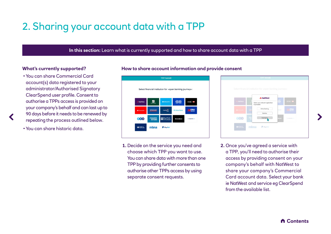# 2. Sharing your account data with a TPP

#### **In this section:** Learn what is currently supported and how to share account data with a TPP

#### **What's currently supported?**

- You can share Commercial Card account(s) data registered to your administrator/Authorised Signatory ClearSpend user profile. Consent to authorise a TPPs access is provided on your company's behalf and can last up to 90 days before it needs to be renewed by repeating the process outlined below.
- You can share historic data.

#### **How to share account information and provide consent**



 **1.** Decide on the service you need and choose which TPP you want to use. You can share data with more than one TPP by providing further consents to authorise other TPPs access by using separate consent requests.



**2.** Once you've agreed a service with a TPP, you'll need to authorise their access by providing consent on your company's behalf with NatWest to share your company's Commercial Card account data. Select your bank ie NatWest and service eg ClearSpend from the available list.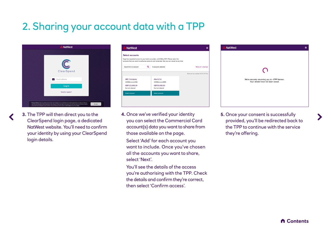# 2. Sharing your account data with a TPP



**3.** The TPP will then direct you to the ClearSpend login page, a dedicated NatWest website. You'll need to confirm your identity by using your ClearSpend login details.

|                       |   | Sage has requested access to your bank account(s), until 8 May 2019. Please select the<br>accounts that you want to authorise access to and remember that you can cancel at any time. |                                     |
|-----------------------|---|---------------------------------------------------------------------------------------------------------------------------------------------------------------------------------------|-------------------------------------|
| Search for an account | Q | 0 accounts selected                                                                                                                                                                   | What am I sharing?                  |
|                       |   |                                                                                                                                                                                       | Balances last updated 14:23 UK Time |
| <b>ABC Company</b>    |   | Abe & Co                                                                                                                                                                              |                                     |
| 123456xxxxxxx3456     |   | 123456xxxxxx0001                                                                                                                                                                      |                                     |
| GBP123,000.00         |   | GBP30,000.00                                                                                                                                                                          |                                     |
| Current cleared       |   | Current cleared                                                                                                                                                                       |                                     |
| Select account        |   | Select account                                                                                                                                                                        |                                     |

**4.** Once we've verified your identity you can select the Commercial Card account(s) data you want to share from

those available on the page. Select 'Add' for each account you want to include. Once you've chosen all the accounts you want to share, select 'Next'.

You'll see the details of the access you're authorising with the TPP. Check the details and confirm they're correct, then select 'Confirm access'.



We're securely returning you to <TPP Name> Your details have not been saved

**NatWest**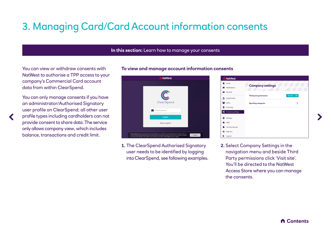# 3. Managing Card/Card Account information consents

#### **In this section:** Learn how to manage your consents

You can view or withdraw consents with NatWest to authorise a TPP access to your company's Commercial Card account data from within ClearSpend.

You can only manage consents if you have an administrator/Authorised Signatory user profile on ClearSpend; all other user profile types including cardholders can not provide consent to share data. The service only allows company view, which includes balance, transactions and credit limit.

#### **To view and manage account information consents**



**1.** The ClearSpend Authorised Signatory user needs to be identified by logging into ClearSpend, see following examples.



**2.** Select Company Settings in the navigation menu and beside Third Party permissions click 'Visit site'. You'll be directed to the NatWest Access Store where you can manage the consents.

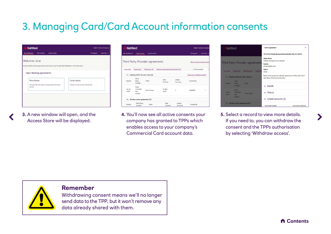## 3. Managing Card/Card Account information consents

| <b>Third parties</b><br>My Dashboard<br><b>Funds checks</b><br>Welcome Jane<br>Access all data sharing agreements you have set up through Open Banking in the Access store<br><b>Open Banking agreements</b><br><b>Third Parties</b><br>Funds checks<br>Third parties with whom company data has been<br>Checks carried out by Third parties | <b><i>O</i></b> Support<br>Jane Doe $\vee$ |
|----------------------------------------------------------------------------------------------------------------------------------------------------------------------------------------------------------------------------------------------------------------------------------------------------------------------------------------------|--------------------------------------------|
|                                                                                                                                                                                                                                                                                                                                              |                                            |
|                                                                                                                                                                                                                                                                                                                                              |                                            |
|                                                                                                                                                                                                                                                                                                                                              |                                            |
|                                                                                                                                                                                                                                                                                                                                              |                                            |
|                                                                                                                                                                                                                                                                                                                                              |                                            |
|                                                                                                                                                                                                                                                                                                                                              |                                            |
|                                                                                                                                                                                                                                                                                                                                              |                                            |
|                                                                                                                                                                                                                                                                                                                                              |                                            |
|                                                                                                                                                                                                                                                                                                                                              |                                            |
| shared                                                                                                                                                                                                                                                                                                                                       |                                            |
|                                                                                                                                                                                                                                                                                                                                              |                                            |
|                                                                                                                                                                                                                                                                                                                                              |                                            |
|                                                                                                                                                                                                                                                                                                                                              |                                            |
|                                                                                                                                                                                                                                                                                                                                              |                                            |
|                                                                                                                                                                                                                                                                                                                                              |                                            |
|                                                                                                                                                                                                                                                                                                                                              |                                            |

**3.** A new window will open, and the Access Store will be displayed.

| <b>NatWest</b>  |                                        |                                 |                                     |                           |                            | <b>Alpha Testing Company</b> |
|-----------------|----------------------------------------|---------------------------------|-------------------------------------|---------------------------|----------------------------|------------------------------|
| My Dashboard    | <b>Third parties</b>                   | <b>Funds checks</b>             |                                     |                           | <b>C</b> Support           | Jane Doe $\vee$              |
|                 |                                        | Third Party Provider agreements |                                     |                           |                            | What do these statuses mean  |
| Active (18)     | Expired (6)                            | Withdrawn (8)                   | Deleted, Suspended and Revoked (33) |                           | All third parties          | ╰                            |
| $\sim$          | Expiring within the next 5 days (1)    |                                 |                                     |                           | How can I continue access? |                              |
| <b>Expires</b>  | Third<br>Party<br>Provider             | Client                          | Date<br>Grunted                     | I inked<br>Accounts       | Created By                 |                              |
| 29 Jun<br>14:39 | Davis.<br>O'Connell<br>and<br>Schulist | <b>Grant Group</b>              | 04 Mar<br>11:57                     | 1                         | 22222222                   |                              |
| ⌒               | All other active agreements (17)       |                                 |                                     |                           |                            |                              |
| <b>Expires</b>  | <b>Third Party</b><br>Provider         | Client                          | Date<br>Granted                     | Linked<br><b>Accounts</b> | Created By                 |                              |

**4.** You'll now see all active consents your company has granted to TPPs which enables access to your company's Commercial Card account data.

| <b>NatWest</b>             |                                     |                                        | Active agreement                                                                                       | $\times$ |
|----------------------------|-------------------------------------|----------------------------------------|--------------------------------------------------------------------------------------------------------|----------|
|                            |                                     |                                        | 20171214-O'Keefe, Marquardtand Jaskolski-JOE.121-105725                                                |          |
|                            |                                     | <b>Third Party Provider agreements</b> | <b>Client Name</b><br>O'Keefe, Marguardt and Jaskolski<br><b>Expires</b><br>24 April 2020 11:57        |          |
| Active (18)                | Expired (6)                         | Withdrawn (8)                          | <b>Status</b><br>Deleted, S<br>Active                                                                  |          |
| $\wedge$                   | Expiring within the next 5 days (1) |                                        | Below is the access that JOE.121 agreed to on 14 Dec 2017 10:57<br>with Davis, O'Connell and Schulist, |          |
| <b>Expires</b>             | Third<br>Party<br>Providen          | Client                                 | Details<br>$\checkmark$                                                                                |          |
| $29$ $\text{lim}$<br>14.47 | Davis.<br>O'Connell<br>and          | <b>Grant Group</b>                     | History                                                                                                |          |
|                            | Schulist                            |                                        | Linked accounts (1)                                                                                    |          |
|                            |                                     | All other active agreements (17)       |                                                                                                        |          |

**5.** Select a record to view more details. If you need to, you can withdraw the consent and the TPPs authorisation by selecting 'Withdraw access'.



### **Remember**

Withdrawing consent means we'll no longer send data to the TPP, but it won't remove any data already shared with them.